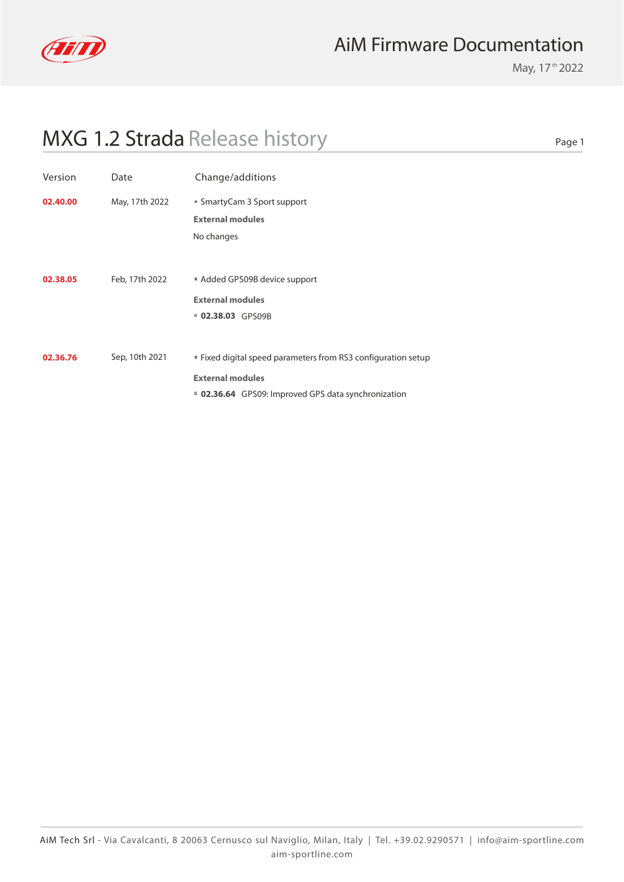

May, 17<sup>th</sup> 2022

Page 1

| Version  | Date           | Change/additions                                                                                                                                |
|----------|----------------|-------------------------------------------------------------------------------------------------------------------------------------------------|
| 02.40.00 | May, 17th 2022 | ■ SmartyCam 3 Sport support<br><b>External modules</b><br>No changes                                                                            |
| 02.38.05 | Feb, 17th 2022 | Added GPS09B device support<br><b>External modules</b><br>02.38.03 GPS09B                                                                       |
| 02.36.76 | Sep, 10th 2021 | ■ Fixed digital speed parameters from RS3 configuration setup<br><b>External modules</b><br>■ 02.36.64 GPS09: Improved GPS data synchronization |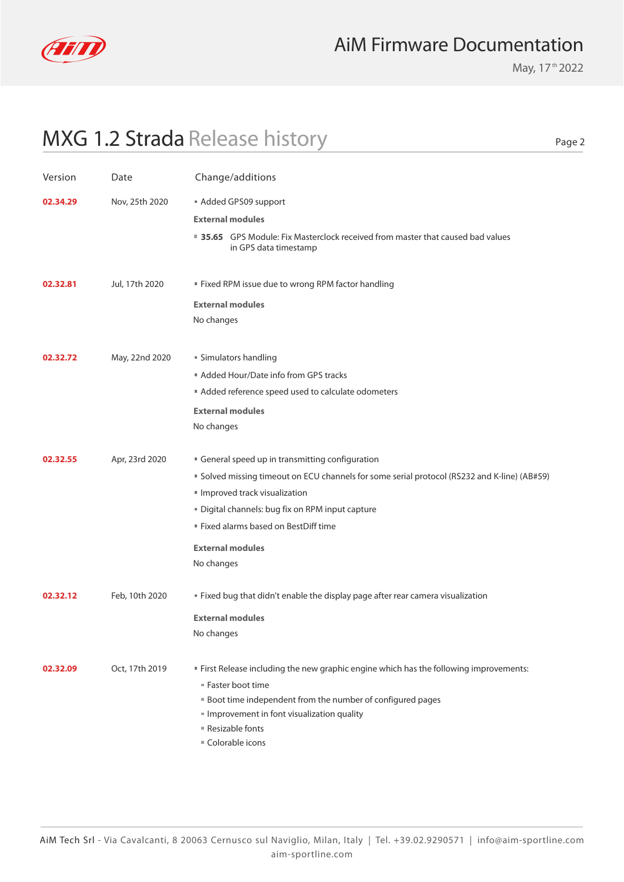

May, 17<sup>th</sup> 2022

Page 2

| Version  | Date           | Change/additions                                                                                                                                                                                                                                                        |
|----------|----------------|-------------------------------------------------------------------------------------------------------------------------------------------------------------------------------------------------------------------------------------------------------------------------|
| 02.34.29 | Nov, 25th 2020 | Added GPS09 support                                                                                                                                                                                                                                                     |
|          |                | <b>External modules</b>                                                                                                                                                                                                                                                 |
|          |                | ■ 35.65 GPS Module: Fix Masterclock received from master that caused bad values<br>in GPS data timestamp                                                                                                                                                                |
| 02.32.81 | Jul, 17th 2020 | " Fixed RPM issue due to wrong RPM factor handling                                                                                                                                                                                                                      |
|          |                | <b>External modules</b>                                                                                                                                                                                                                                                 |
|          |                | No changes                                                                                                                                                                                                                                                              |
| 02.32.72 | May, 22nd 2020 | ■ Simulators handling                                                                                                                                                                                                                                                   |
|          |                | Added Hour/Date info from GPS tracks                                                                                                                                                                                                                                    |
|          |                | Added reference speed used to calculate odometers                                                                                                                                                                                                                       |
|          |                | <b>External modules</b>                                                                                                                                                                                                                                                 |
|          |                | No changes                                                                                                                                                                                                                                                              |
| 02.32.55 | Apr, 23rd 2020 | General speed up in transmitting configuration                                                                                                                                                                                                                          |
|          |                | " Solved missing timeout on ECU channels for some serial protocol (RS232 and K-line) (AB#59)                                                                                                                                                                            |
|          |                | Improved track visualization                                                                                                                                                                                                                                            |
|          |                | Digital channels: bug fix on RPM input capture                                                                                                                                                                                                                          |
|          |                | " Fixed alarms based on BestDiff time                                                                                                                                                                                                                                   |
|          |                | <b>External modules</b>                                                                                                                                                                                                                                                 |
|          |                | No changes                                                                                                                                                                                                                                                              |
| 02.32.12 | Feb, 10th 2020 | " Fixed bug that didn't enable the display page after rear camera visualization                                                                                                                                                                                         |
|          |                | <b>External modules</b>                                                                                                                                                                                                                                                 |
|          |                | No changes                                                                                                                                                                                                                                                              |
| 02.32.09 | Oct, 17th 2019 | " First Release including the new graphic engine which has the following improvements:<br>■ Faster boot time<br><b>Boot time independent from the number of configured pages</b><br>Improvement in font visualization quality<br>■ Resizable fonts<br>■ Colorable icons |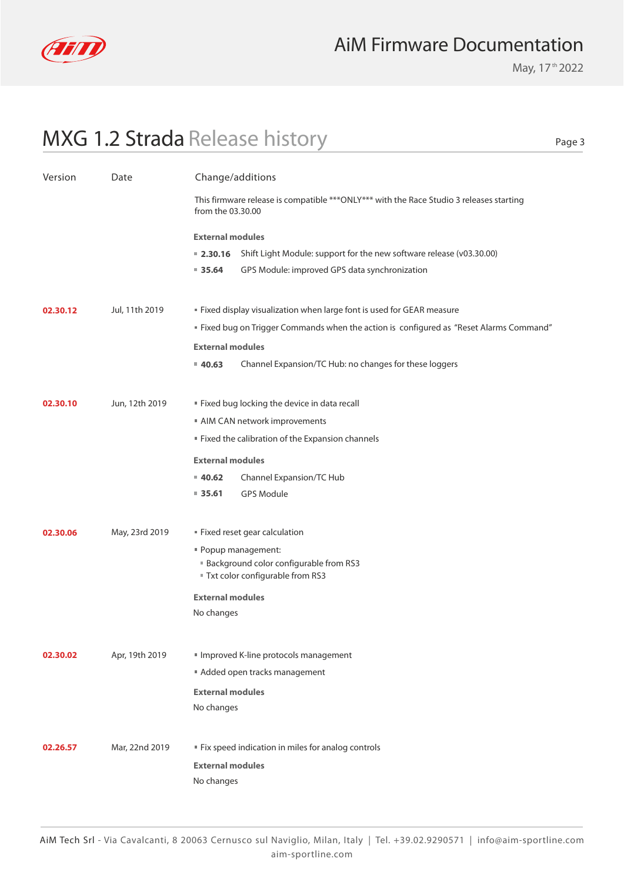

May, 17<sup>th</sup> 2022

Page 3

| Version  | Date           | Change/additions                                                                                              |  |
|----------|----------------|---------------------------------------------------------------------------------------------------------------|--|
|          |                | This firmware release is compatible *** ONLY*** with the Race Studio 3 releases starting<br>from the 03.30.00 |  |
|          |                | <b>External modules</b>                                                                                       |  |
|          |                | Shift Light Module: support for the new software release (v03.30.00)<br>$= 2.30.16$                           |  |
|          |                | GPS Module: improved GPS data synchronization<br>935.64                                                       |  |
| 02.30.12 | Jul, 11th 2019 | " Fixed display visualization when large font is used for GEAR measure                                        |  |
|          |                | " Fixed bug on Trigger Commands when the action is configured as "Reset Alarms Command"                       |  |
|          |                | <b>External modules</b>                                                                                       |  |
|          |                | Channel Expansion/TC Hub: no changes for these loggers<br>40.63                                               |  |
|          |                |                                                                                                               |  |
| 02.30.10 | Jun, 12th 2019 | " Fixed bug locking the device in data recall                                                                 |  |
|          |                | AIM CAN network improvements                                                                                  |  |
|          |                | " Fixed the calibration of the Expansion channels                                                             |  |
|          |                | <b>External modules</b>                                                                                       |  |
|          |                | Channel Expansion/TC Hub<br>$= 40.62$                                                                         |  |
|          |                | $= 35.61$<br><b>GPS Module</b>                                                                                |  |
| 02.30.06 | May, 23rd 2019 | " Fixed reset gear calculation                                                                                |  |
|          |                | " Popup management:                                                                                           |  |
|          |                | <b>Background color configurable from RS3</b>                                                                 |  |
|          |                | Txt color configurable from RS3                                                                               |  |
|          |                | <b>External modules</b>                                                                                       |  |
|          |                | No changes                                                                                                    |  |
|          |                |                                                                                                               |  |
| 02.30.02 | Apr, 19th 2019 | Improved K-line protocols management                                                                          |  |
|          |                | Added open tracks management                                                                                  |  |
|          |                | <b>External modules</b><br>No changes                                                                         |  |
|          |                |                                                                                                               |  |
| 02.26.57 | Mar, 22nd 2019 | " Fix speed indication in miles for analog controls                                                           |  |
|          |                | <b>External modules</b>                                                                                       |  |
|          |                | No changes                                                                                                    |  |
|          |                |                                                                                                               |  |